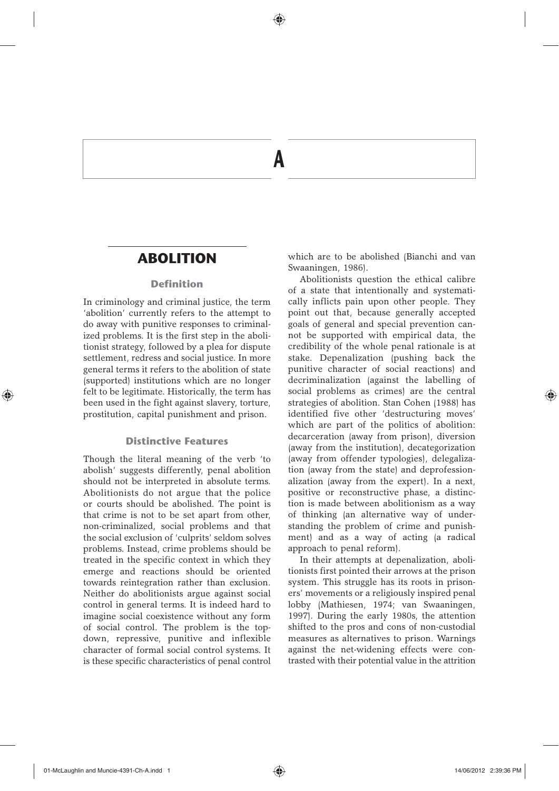**A**

### **ABOLITION**

### **Definition**

In criminology and criminal justice, the term 'abolition' currently refers to the attempt to do away with punitive responses to criminalized problems. It is the first step in the abolitionist strategy, followed by a plea for dispute settlement, redress and social justice. In more general terms it refers to the abolition of state (supported) institutions which are no longer felt to be legitimate. Historically, the term has been used in the fight against slavery, torture, prostitution, capital punishment and prison.

### **Distinctive Features**

Though the literal meaning of the verb 'to abolish' suggests differently, penal abolition should not be interpreted in absolute terms. Abolitionists do not argue that the police or courts should be abolished. The point is that crime is not to be set apart from other, non-criminalized, social problems and that the social exclusion of 'culprits' seldom solves problems. Instead, crime problems should be treated in the specific context in which they emerge and reactions should be oriented towards reintegration rather than exclusion. Neither do abolitionists argue against social control in general terms. It is indeed hard to imagine social coexistence without any form of social control. The problem is the topdown, repressive, punitive and inflexible character of formal social control systems. It is these specific characteristics of penal control

which are to be abolished (Bianchi and van Swaaningen, 1986).

Abolitionists question the ethical calibre of a state that intentionally and systematically inflicts pain upon other people. They point out that, because generally accepted goals of general and special prevention cannot be supported with empirical data, the credibility of the whole penal rationale is at stake. Depenalization (pushing back the punitive character of social reactions) and decriminalization (against the labelling of social problems as crimes) are the central strategies of abolition. Stan Cohen (1988) has identified five other 'destructuring moves' which are part of the politics of abolition: decarceration (away from prison), diversion (away from the institution), decategorization (away from offender typologies), delegalization (away from the state) and deprofessionalization (away from the expert). In a next, positive or reconstructive phase, a distinction is made between abolitionism as a way of thinking (an alternative way of understanding the problem of crime and punishment) and as a way of acting (a radical approach to penal reform).

In their attempts at depenalization, abolitionists first pointed their arrows at the prison system. This struggle has its roots in prisoners' movements or a religiously inspired penal lobby (Mathiesen, 1974; van Swaaningen, 1997). During the early 1980s, the attention shifted to the pros and cons of non-custodial measures as alternatives to prison. Warnings against the net-widening effects were contrasted with their potential value in the attrition

◈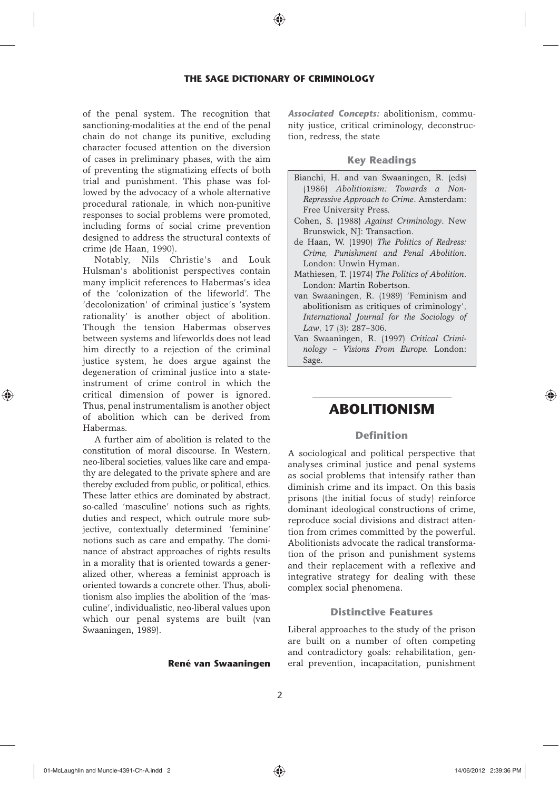### **THE SAGE DICTIONARY OF CRIMINOLOGY**

◈

of the penal system. The recognition that sanctioning-modalities at the end of the penal chain do not change its punitive, excluding character focused attention on the diversion of cases in preliminary phases, with the aim of preventing the stigmatizing effects of both trial and punishment. This phase was followed by the advocacy of a whole alternative procedural rationale, in which non-punitive responses to social problems were promoted, including forms of social crime prevention designed to address the structural contexts of crime (de Haan, 1990).

Notably, Nils Christie's and Louk Hulsman's abolitionist perspectives contain many implicit references to Habermas's idea of the 'colonization of the lifeworld'. The 'decolonization' of criminal justice's 'system rationality' is another object of abolition. Though the tension Habermas observes between systems and lifeworlds does not lead him directly to a rejection of the criminal justice system, he does argue against the degeneration of criminal justice into a stateinstrument of crime control in which the critical dimension of power is ignored. Thus, penal instrumentalism is another object of abolition which can be derived from Habermas.

A further aim of abolition is related to the constitution of moral discourse. In Western, neo-liberal societies, values like care and empathy are delegated to the private sphere and are thereby excluded from public, or political, ethics. These latter ethics are dominated by abstract, so-called 'masculine' notions such as rights, duties and respect, which outrule more subjective, contextually determined 'feminine' notions such as care and empathy. The dominance of abstract approaches of rights results in a morality that is oriented towards a generalized other, whereas a feminist approach is oriented towards a concrete other. Thus, abolitionism also implies the abolition of the 'masculine', individualistic, neo-liberal values upon which our penal systems are built (van Swaaningen, 1989).

### **René van Swaaningen**

*Associated Concepts:* abolitionism, community justice, critical criminology, deconstruction, redress, the state

### **Key Readings**

- Bianchi, H. and van Swaaningen, R. (eds) (1986) *Abolitionism: Towards a Non-Repressive Approach to Crime*. Amsterdam: Free University Press.
- Cohen, S. (1988) *Against Criminology*. New Brunswick, NJ: Transaction.
- de Haan, W. (1990) *The Politics of Redress: Crime, Punishment and Penal Abolition*. London: Unwin Hyman.
- Mathiesen, T. (1974) *The Politics of Abolition*. London: Martin Robertson.
- van Swaaningen, R. (1989) 'Feminism and abolitionism as critiques of criminology', *International Journal for the Sociology of Law*, 17 (3): 287–306.
- Van Swaaningen, R. (1997) *Critical Criminology* – *Visions From Europe.* London: Sage.

### **ABOLITIONISM**

### **Definition**

A sociological and political perspective that analyses criminal justice and penal systems as social problems that intensify rather than diminish crime and its impact. On this basis prisons (the initial focus of study) reinforce dominant ideological constructions of crime, reproduce social divisions and distract attention from crimes committed by the powerful. Abolitionists advocate the radical transformation of the prison and punishment systems and their replacement with a reflexive and integrative strategy for dealing with these complex social phenomena.

### **Distinctive Features**

Liberal approaches to the study of the prison are built on a number of often competing and contradictory goals: rehabilitation, general prevention, incapacitation, punishment

⊕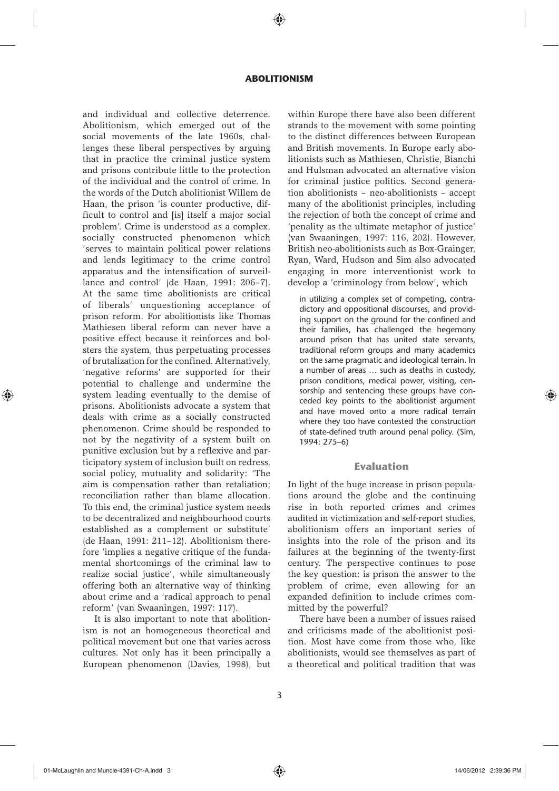### **ABOLITIONISM**

and individual and collective deterrence. Abolitionism, which emerged out of the social movements of the late 1960s, challenges these liberal perspectives by arguing that in practice the criminal justice system and prisons contribute little to the protection of the individual and the control of crime. In the words of the Dutch abolitionist Willem de Haan, the prison 'is counter productive, difficult to control and [is] itself a major social problem'. Crime is understood as a complex, socially constructed phenomenon which 'serves to maintain political power relations and lends legitimacy to the crime control apparatus and the intensification of surveillance and control' (de Haan, 1991: 206–7). At the same time abolitionists are critical of liberals' unquestioning acceptance of prison reform. For abolitionists like Thomas Mathiesen liberal reform can never have a positive effect because it reinforces and bolsters the system, thus perpetuating processes of brutalization for the confined. Alternatively, 'negative reforms' are supported for their potential to challenge and undermine the system leading eventually to the demise of prisons. Abolitionists advocate a system that deals with crime as a socially constructed phenomenon. Crime should be responded to not by the negativity of a system built on punitive exclusion but by a reflexive and participatory system of inclusion built on redress, social policy, mutuality and solidarity: 'The aim is compensation rather than retaliation; reconciliation rather than blame allocation. To this end, the criminal justice system needs to be decentralized and neighbourhood courts established as a complement or substitute' (de Haan, 1991: 211–12). Abolitionism therefore 'implies a negative critique of the fundamental shortcomings of the criminal law to realize social justice', while simultaneously offering both an alternative way of thinking about crime and a 'radical approach to penal reform' (van Swaaningen, 1997: 117).

It is also important to note that abolitionism is not an homogeneous theoretical and political movement but one that varies across cultures. Not only has it been principally a European phenomenon (Davies, 1998), but within Europe there have also been different strands to the movement with some pointing to the distinct differences between European and British movements. In Europe early abolitionists such as Mathiesen, Christie, Bianchi and Hulsman advocated an alternative vision for criminal justice politics. Second generation abolitionists – neo-abolitionists – accept many of the abolitionist principles, including the rejection of both the concept of crime and 'penality as the ultimate metaphor of justice' (van Swaaningen, 1997: 116, 202). However, British neo-abolitionists such as Box-Grainger, Ryan, Ward, Hudson and Sim also advocated engaging in more interventionist work to develop a 'criminology from below', which

in utilizing a complex set of competing, contradictory and oppositional discourses, and providing support on the ground for the confined and their families, has challenged the hegemony around prison that has united state servants, traditional reform groups and many academics on the same pragmatic and ideological terrain. In a number of areas … such as deaths in custody, prison conditions, medical power, visiting, censorship and sentencing these groups have conceded key points to the abolitionist argument and have moved onto a more radical terrain where they too have contested the construction of state-defined truth around penal policy. (Sim, 1994: 275–6)

### **Evaluation**

In light of the huge increase in prison populations around the globe and the continuing rise in both reported crimes and crimes audited in victimization and self-report studies, abolitionism offers an important series of insights into the role of the prison and its failures at the beginning of the twenty-first century. The perspective continues to pose the key question: is prison the answer to the problem of crime, even allowing for an expanded definition to include crimes committed by the powerful?

There have been a number of issues raised and criticisms made of the abolitionist position. Most have come from those who, like abolitionists, would see themselves as part of a theoretical and political tradition that was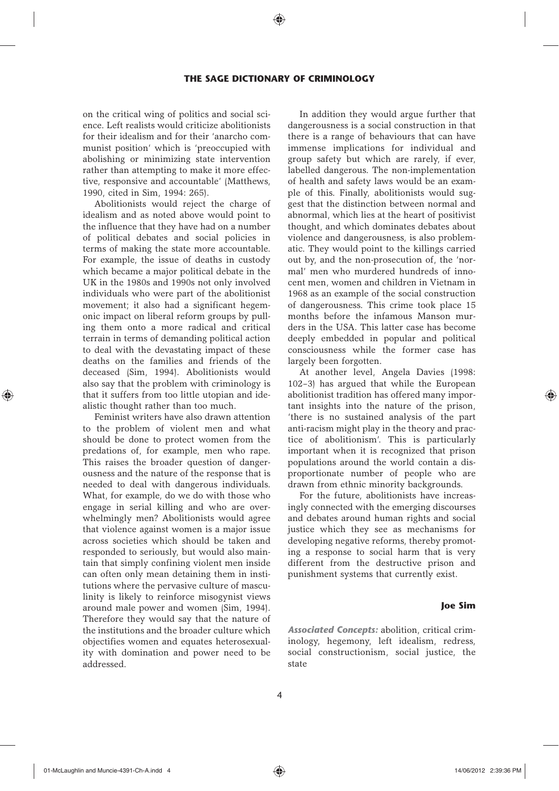on the critical wing of politics and social science. Left realists would criticize abolitionists for their idealism and for their 'anarcho communist position' which is 'preoccupied with abolishing or minimizing state intervention rather than attempting to make it more effective, responsive and accountable' (Matthews, 1990, cited in Sim, 1994: 265).

Abolitionists would reject the charge of idealism and as noted above would point to the influence that they have had on a number of political debates and social policies in terms of making the state more accountable. For example, the issue of deaths in custody which became a major political debate in the UK in the 1980s and 1990s not only involved individuals who were part of the abolitionist movement; it also had a significant hegemonic impact on liberal reform groups by pulling them onto a more radical and critical terrain in terms of demanding political action to deal with the devastating impact of these deaths on the families and friends of the deceased (Sim, 1994). Abolitionists would also say that the problem with criminology is that it suffers from too little utopian and idealistic thought rather than too much.

Feminist writers have also drawn attention to the problem of violent men and what should be done to protect women from the predations of, for example, men who rape. This raises the broader question of dangerousness and the nature of the response that is needed to deal with dangerous individuals. What, for example, do we do with those who engage in serial killing and who are overwhelmingly men? Abolitionists would agree that violence against women is a major issue across societies which should be taken and responded to seriously, but would also maintain that simply confining violent men inside can often only mean detaining them in institutions where the pervasive culture of masculinity is likely to reinforce misogynist views around male power and women (Sim, 1994). Therefore they would say that the nature of the institutions and the broader culture which objectifies women and equates heterosexuality with domination and power need to be addressed.

In addition they would argue further that dangerousness is a social construction in that there is a range of behaviours that can have immense implications for individual and group safety but which are rarely, if ever, labelled dangerous. The non-implementation of health and safety laws would be an example of this. Finally, abolitionists would suggest that the distinction between normal and abnormal, which lies at the heart of positivist thought, and which dominates debates about violence and dangerousness, is also problematic. They would point to the killings carried out by, and the non-prosecution of, the 'normal' men who murdered hundreds of innocent men, women and children in Vietnam in 1968 as an example of the social construction of dangerousness. This crime took place 15 months before the infamous Manson murders in the USA. This latter case has become deeply embedded in popular and political consciousness while the former case has largely been forgotten.

At another level, Angela Davies (1998: 102–3) has argued that while the European abolitionist tradition has offered many important insights into the nature of the prison, 'there is no sustained analysis of the part anti-racism might play in the theory and practice of abolitionism'. This is particularly important when it is recognized that prison populations around the world contain a disproportionate number of people who are drawn from ethnic minority backgrounds.

For the future, abolitionists have increasingly connected with the emerging discourses and debates around human rights and social justice which they see as mechanisms for developing negative reforms, thereby promoting a response to social harm that is very different from the destructive prison and punishment systems that currently exist.

#### **Joe Sim**

♠

*Associated Concepts:* abolition, critical criminology, hegemony, left idealism, redress, social constructionism, social justice, the state

4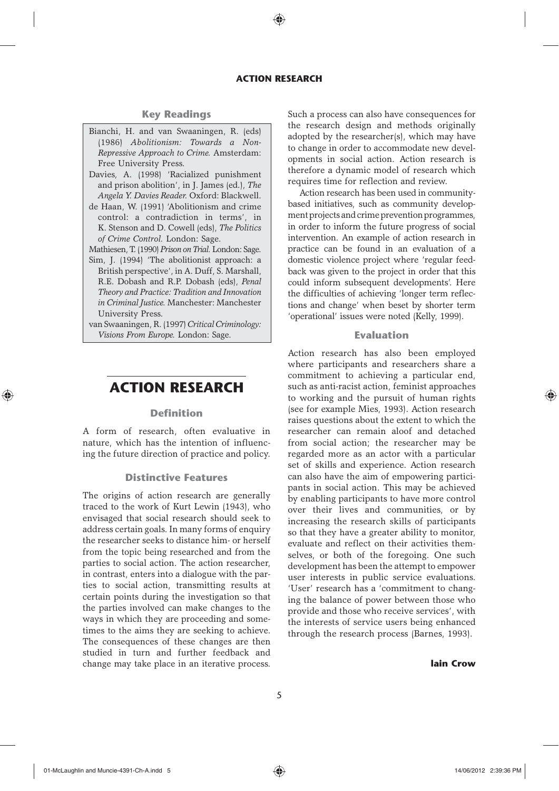### **ACTION RESEARCH**

◈

### **Key Readings**

- Bianchi, H. and van Swaaningen, R. (eds) (1986) *Abolitionism: Towards a Non-Repressive Approach to Crime.* Amsterdam: Free University Press.
- Davies, A. (1998) 'Racialized punishment and prison abolition', in J. James (ed.), *The Angela Y. Davies Reader.* Oxford: Blackwell.
- de Haan, W. (1991) 'Abolitionism and crime control: a contradiction in terms', in K. Stenson and D. Cowell (eds), *The Politics of Crime Control.* London: Sage.
- Mathiesen, T. (1990) *Prison on Trial.* London: Sage.
- Sim, J. (1994) 'The abolitionist approach: a British perspective', in A. Duff, S. Marshall, R.E. Dobash and R.P. Dobash (eds), *Penal Theory and Practice: Tradition and Innovation in Criminal Justice.* Manchester: Manchester University Press.
- van Swaaningen, R. (1997) *Critical Criminology: Visions From Europe.* London: Sage.

# **ACTION RESEARCH**

◈

### **Definition**

A form of research, often evaluative in nature, which has the intention of influencing the future direction of practice and policy.

### **Distinctive Features**

The origins of action research are generally traced to the work of Kurt Lewin (1943), who envisaged that social research should seek to address certain goals. In many forms of enquiry the researcher seeks to distance him- or herself from the topic being researched and from the parties to social action. The action researcher, in contrast, enters into a dialogue with the parties to social action, transmitting results at certain points during the investigation so that the parties involved can make changes to the ways in which they are proceeding and sometimes to the aims they are seeking to achieve. The consequences of these changes are then studied in turn and further feedback and change may take place in an iterative process.

Such a process can also have consequences for the research design and methods originally adopted by the researcher(s), which may have to change in order to accommodate new developments in social action. Action research is therefore a dynamic model of research which requires time for reflection and review.

Action research has been used in communitybased initiatives, such as community development projects and crime prevention programmes, in order to inform the future progress of social intervention. An example of action research in practice can be found in an evaluation of a domestic violence project where 'regular feedback was given to the project in order that this could inform subsequent developments'. Here the difficulties of achieving 'longer term reflections and change' when beset by shorter term 'operational' issues were noted (Kelly, 1999).

### **Evaluation**

Action research has also been employed where participants and researchers share a commitment to achieving a particular end, such as anti-racist action, feminist approaches to working and the pursuit of human rights (see for example Mies, 1993). Action research raises questions about the extent to which the researcher can remain aloof and detached from social action; the researcher may be regarded more as an actor with a particular set of skills and experience. Action research can also have the aim of empowering participants in social action. This may be achieved by enabling participants to have more control over their lives and communities, or by increasing the research skills of participants so that they have a greater ability to monitor, evaluate and reflect on their activities themselves, or both of the foregoing. One such development has been the attempt to empower user interests in public service evaluations. 'User' research has a 'commitment to changing the balance of power between those who provide and those who receive services', with the interests of service users being enhanced through the research process (Barnes, 1993).

### **lain Crow**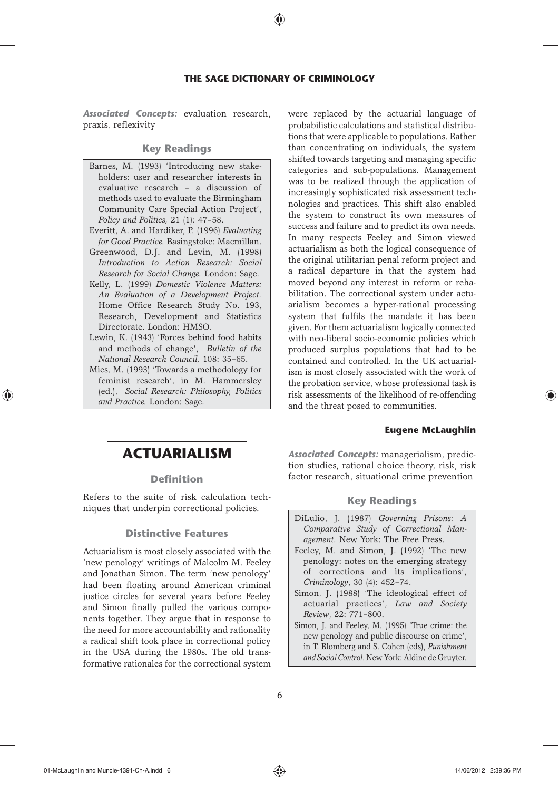*Associated Concepts:* evaluation research, praxis, reflexivity

### **Key Readings**

- Barnes, M. (1993) 'Introducing new stakeholders: user and researcher interests in evaluative research – a discussion of methods used to evaluate the Birmingham Community Care Special Action Project', *Policy and Politics,* 21 (1): 47–58.
- Everitt, A. and Hardiker, P. (1996) *Evaluating for Good Practice.* Basingstoke: Macmillan.
- Greenwood, D.J. and Levin, M. (1998) *Introduction to Action Research: Social Research for Social Change.* London: Sage.
- Kelly, L. (1999) *Domestic Violence Matters: An Evaluation of a Development Project.*  Home Office Research Study No. 193, Research, Development and Statistics Directorate. London: HMSO.
- Lewin, K. (1943) 'Forces behind food habits and methods of change', *Bulletin of the National Research Council,* 108: 35–65.
- Mies, M. (1993) 'Towards a methodology for feminist research', in M. Hammersley (ed.), *Social Research: Philosophy, Politics and Practice.* London: Sage.

◈

were replaced by the actuarial language of probabilistic calculations and statistical distributions that were applicable to populations. Rather than concentrating on individuals, the system shifted towards targeting and managing specific categories and sub-populations. Management was to be realized through the application of increasingly sophisticated risk assessment technologies and practices. This shift also enabled the system to construct its own measures of success and failure and to predict its own needs. In many respects Feeley and Simon viewed actuarialism as both the logical consequence of the original utilitarian penal reform project and a radical departure in that the system had moved beyond any interest in reform or rehabilitation. The correctional system under actuarialism becomes a hyper-rational processing system that fulfils the mandate it has been given. For them actuarialism logically connected with neo-liberal socio-economic policies which produced surplus populations that had to be contained and controlled. In the UK actuarialism is most closely associated with the work of the probation service, whose professional task is risk assessments of the likelihood of re-offending and the threat posed to communities.

### **Eugene McLaughlin**

♠

### **ACTUARIALISM**

### **Definition**

Refers to the suite of risk calculation techniques that underpin correctional policies.

### **Distinctive Features**

Actuarialism is most closely associated with the 'new penology' writings of Malcolm M. Feeley and Jonathan Simon. The term 'new penology' had been floating around American criminal justice circles for several years before Feeley and Simon finally pulled the various components together. They argue that in response to the need for more accountability and rationality a radical shift took place in correctional policy in the USA during the 1980s. The old transformative rationales for the correctional system *Associated Concepts:* managerialism, prediction studies, rational choice theory, risk, risk factor research, situational crime prevention

### **Key Readings**

- DiLulio, J. (1987) *Governing Prisons: A Comparative Study of Correctional Management.* New York: The Free Press.
- Feeley, M. and Simon, J. (1992) 'The new penology: notes on the emerging strategy of corrections and its implications', *Criminology*, 30 (4): 452–74.
- Simon, J. (1988) 'The ideological effect of actuarial practices', *Law and Society Review*, 22: 771–800.
- Simon, J. and Feeley, M. (1995) 'True crime: the new penology and public discourse on crime', in T. Blomberg and S. Cohen (eds), *Punishment and Social Control*. New York: Aldine de Gruyter.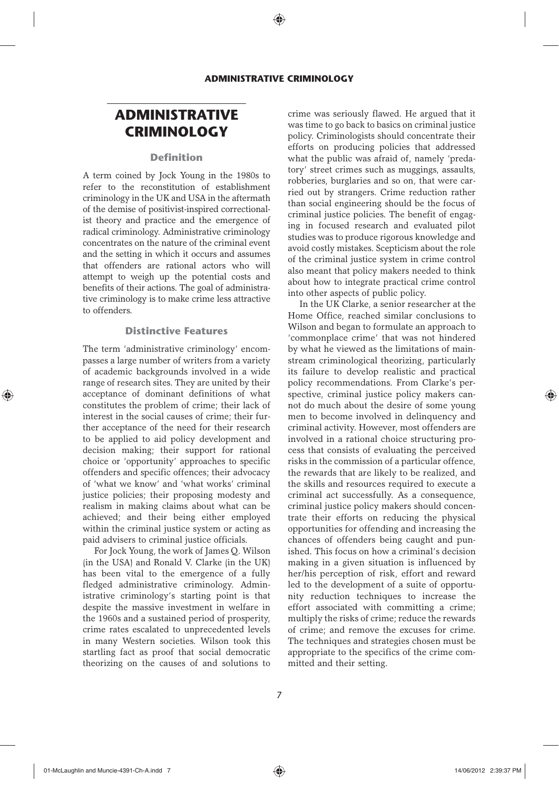# **ADMINISTRATIVE CRIMINOLOGY**

### **Definition**

A term coined by Jock Young in the 1980s to refer to the reconstitution of establishment criminology in the UK and USA in the aftermath of the demise of positivist-inspired correctionalist theory and practice and the emergence of radical criminology. Administrative criminology concentrates on the nature of the criminal event and the setting in which it occurs and assumes that offenders are rational actors who will attempt to weigh up the potential costs and benefits of their actions. The goal of administrative criminology is to make crime less attractive to offenders.

### **Distinctive Features**

The term 'administrative criminology' encompasses a large number of writers from a variety of academic backgrounds involved in a wide range of research sites. They are united by their acceptance of dominant definitions of what constitutes the problem of crime; their lack of interest in the social causes of crime; their further acceptance of the need for their research to be applied to aid policy development and decision making; their support for rational choice or 'opportunity' approaches to specific offenders and specific offences; their advocacy of 'what we know' and 'what works' criminal justice policies; their proposing modesty and realism in making claims about what can be achieved; and their being either employed within the criminal justice system or acting as paid advisers to criminal justice officials.

For Jock Young, the work of James Q. Wilson (in the USA) and Ronald V. Clarke (in the UK) has been vital to the emergence of a fully fledged administrative criminology. Administrative criminology's starting point is that despite the massive investment in welfare in the 1960s and a sustained period of prosperity, crime rates escalated to unprecedented levels in many Western societies. Wilson took this startling fact as proof that social democratic theorizing on the causes of and solutions to

crime was seriously flawed. He argued that it was time to go back to basics on criminal justice policy. Criminologists should concentrate their efforts on producing policies that addressed what the public was afraid of, namely 'predatory' street crimes such as muggings, assaults, robberies, burglaries and so on, that were carried out by strangers. Crime reduction rather than social engineering should be the focus of criminal justice policies. The benefit of engaging in focused research and evaluated pilot studies was to produce rigorous knowledge and avoid costly mistakes. Scepticism about the role of the criminal justice system in crime control also meant that policy makers needed to think about how to integrate practical crime control into other aspects of public policy.

In the UK Clarke, a senior researcher at the Home Office, reached similar conclusions to Wilson and began to formulate an approach to 'commonplace crime' that was not hindered by what he viewed as the limitations of mainstream criminological theorizing, particularly its failure to develop realistic and practical policy recommendations. From Clarke's perspective, criminal justice policy makers cannot do much about the desire of some young men to become involved in delinquency and criminal activity. However, most offenders are involved in a rational choice structuring process that consists of evaluating the perceived risks in the commission of a particular offence, the rewards that are likely to be realized, and the skills and resources required to execute a criminal act successfully. As a consequence, criminal justice policy makers should concentrate their efforts on reducing the physical opportunities for offending and increasing the chances of offenders being caught and punished. This focus on how a criminal's decision making in a given situation is influenced by her/his perception of risk, effort and reward led to the development of a suite of opportunity reduction techniques to increase the effort associated with committing a crime; multiply the risks of crime; reduce the rewards of crime; and remove the excuses for crime. The techniques and strategies chosen must be appropriate to the specifics of the crime committed and their setting.

◈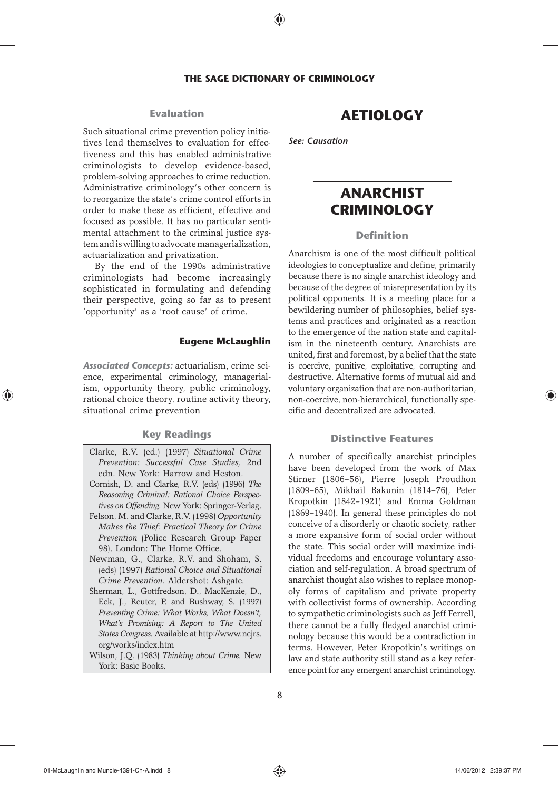### **Evaluation**

Such situational crime prevention policy initiatives lend themselves to evaluation for effectiveness and this has enabled administrative criminologists to develop evidence-based, problem-solving approaches to crime reduction. Administrative criminology's other concern is to reorganize the state's crime control efforts in order to make these as efficient, effective and focused as possible. It has no particular sentimental attachment to the criminal justice system and is willing to advocate managerialization, actuarialization and privatization.

By the end of the 1990s administrative criminologists had become increasingly sophisticated in formulating and defending their perspective, going so far as to present 'opportunity' as a 'root cause' of crime.

### **Eugene McLaughlin**

*Associated Concepts:* actuarialism, crime science, experimental criminology, managerialism, opportunity theory, public criminology, rational choice theory, routine activity theory, situational crime prevention

◈

### **Key Readings**

- Clarke, R.V. (ed.) (1997) *Situational Crime Prevention: Successful Case Studies,* 2nd edn. New York: Harrow and Heston.
- Cornish, D. and Clarke, R.V. (eds) (1996) *The Reasoning Criminal: Rational Choice Perspectives on Offending.* New York: Springer-Verlag.
- Felson, M. and Clarke, R.V. (1998) *Opportunity Makes the Thief: Practical Theory for Crime Prevention* (Police Research Group Paper 98). London: The Home Office.
- Newman, G., Clarke, R.V. and Shoham, S. (eds) (1997) *Rational Choice and Situational Crime Prevention.* Aldershot: Ashgate.
- Sherman, L., Gottfredson, D., MacKenzie, D., Eck, J., Reuter, P. and Bushway, S. (1997) *Preventing Crime: What Works, What Doesn't, What's Promising: A Report to The United States Congress.* Available at http://www.ncjrs. org/works/index.htm
- Wilson, J.Q. (1983) *Thinking about Crime.* New York: Basic Books.

# **AETIOLOGY**

*See: Causation*

# **ANARCHIST CRIMINOLOGY**

### **Definition**

Anarchism is one of the most difficult political ideologies to conceptualize and define, primarily because there is no single anarchist ideology and because of the degree of misrepresentation by its political opponents. It is a meeting place for a bewildering number of philosophies, belief systems and practices and originated as a reaction to the emergence of the nation state and capitalism in the nineteenth century. Anarchists are united, first and foremost, by a belief that the state is coercive, punitive, exploitative, corrupting and destructive. Alternative forms of mutual aid and voluntary organization that are non-authoritarian, non-coercive, non-hierarchical, functionally specific and decentralized are advocated.

### **Distinctive Features**

A number of specifically anarchist principles have been developed from the work of Max Stirner (1806–56), Pierre Joseph Proudhon (1809–65), Mikhail Bakunin (1814–76), Peter Kropotkin (1842–1921) and Emma Goldman (1869–1940). In general these principles do not conceive of a disorderly or chaotic society, rather a more expansive form of social order without the state. This social order will maximize individual freedoms and encourage voluntary association and self-regulation. A broad spectrum of anarchist thought also wishes to replace monopoly forms of capitalism and private property with collectivist forms of ownership. According to sympathetic criminologists such as Jeff Ferrell, there cannot be a fully fledged anarchist criminology because this would be a contradiction in terms. However, Peter Kropotkin's writings on law and state authority still stand as a key reference point for any emergent anarchist criminology.

⊕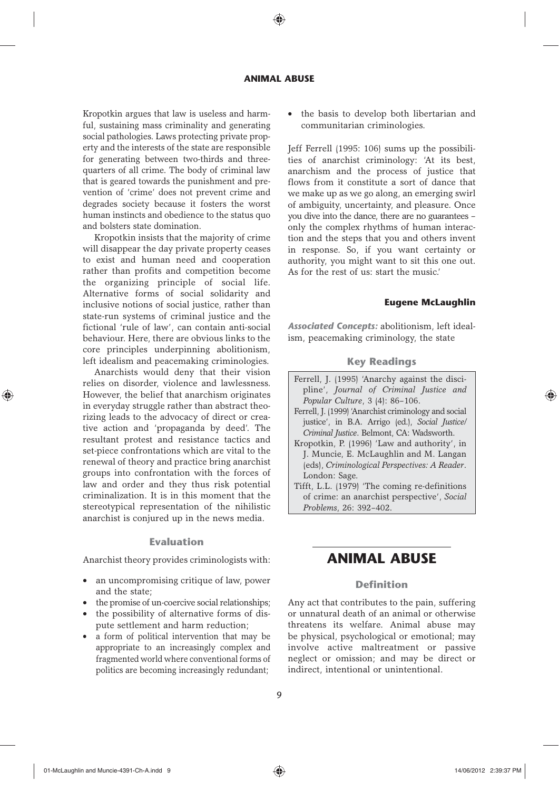Kropotkin argues that law is useless and harmful, sustaining mass criminality and generating social pathologies. Laws protecting private property and the interests of the state are responsible for generating between two-thirds and threequarters of all crime. The body of criminal law that is geared towards the punishment and prevention of 'crime' does not prevent crime and degrades society because it fosters the worst human instincts and obedience to the status quo and bolsters state domination.

Kropotkin insists that the majority of crime will disappear the day private property ceases to exist and human need and cooperation rather than profits and competition become the organizing principle of social life. Alternative forms of social solidarity and inclusive notions of social justice, rather than state-run systems of criminal justice and the fictional 'rule of law', can contain anti-social behaviour. Here, there are obvious links to the core principles underpinning abolitionism, left idealism and peacemaking criminologies.

Anarchists would deny that their vision relies on disorder, violence and lawlessness. However, the belief that anarchism originates in everyday struggle rather than abstract theorizing leads to the advocacy of direct or creative action and 'propaganda by deed'. The resultant protest and resistance tactics and set-piece confrontations which are vital to the renewal of theory and practice bring anarchist groups into confrontation with the forces of law and order and they thus risk potential criminalization. It is in this moment that the stereotypical representation of the nihilistic anarchist is conjured up in the news media.

### **Evaluation**

Anarchist theory provides criminologists with:

- an uncompromising critique of law, power and the state;
- the promise of un-coercive social relationships;
- the possibility of alternative forms of dispute settlement and harm reduction;
- a form of political intervention that may be appropriate to an increasingly complex and fragmented world where conventional forms of politics are becoming increasingly redundant;

the basis to develop both libertarian and communitarian criminologies.

Jeff Ferrell (1995: 106) sums up the possibilities of anarchist criminology: 'At its best, anarchism and the process of justice that flows from it constitute a sort of dance that we make up as we go along, an emerging swirl of ambiguity, uncertainty, and pleasure. Once you dive into the dance, there are no guarantees – only the complex rhythms of human interaction and the steps that you and others invent in response. So, if you want certainty or authority, you might want to sit this one out. As for the rest of us: start the music.'

### **Eugene McLaughlin**

*Associated Concepts:* abolitionism, left idealism, peacemaking criminology, the state

### **Key Readings**

- Ferrell, J. (1995) 'Anarchy against the discipline', *Journal of Criminal Justice and Popular Culture*, 3 (4): 86–106.
- Ferrell, J. (1999) 'Anarchist criminology and social justice', in B.A. Arrigo (ed.), *Social Justice/ Criminal Justice*. Belmont, CA: Wadsworth.
- Kropotkin, P. (1996) 'Law and authority', in J. Muncie, E. McLaughlin and M. Langan (eds), *Criminological Perspectives: A Reader*. London: Sage.
- Tifft, L.L. (1979) 'The coming re-definitions of crime: an anarchist perspective', *Social Problems*, 26: 392–402.

### **ANIMAL ABUSE**

### **Definition**

Any act that contributes to the pain, suffering or unnatural death of an animal or otherwise threatens its welfare. Animal abuse may be physical, psychological or emotional; may involve active maltreatment or passive neglect or omission; and may be direct or indirect, intentional or unintentional.

01-McLaughlin and Muncie-4391-Ch-A.indd 9  $\bigoplus$  14/06/2012 2:39:37 PM

◈

⊕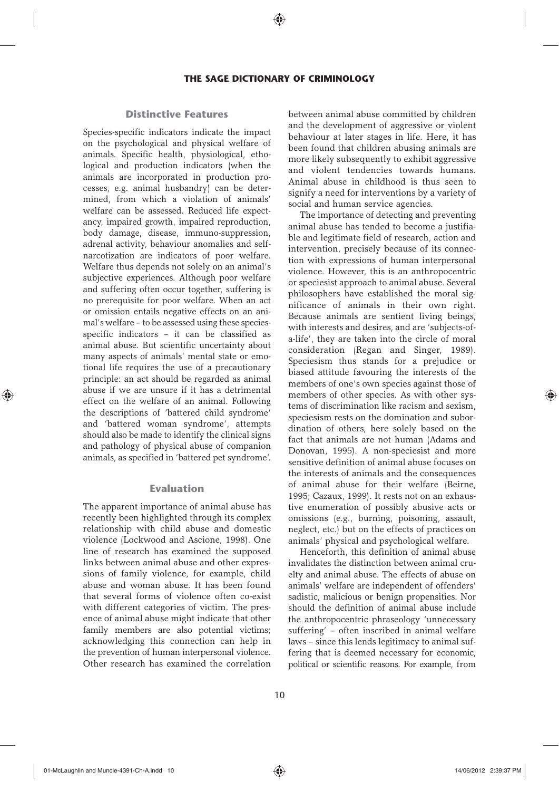### **Distinctive Features**

Species-specific indicators indicate the impact on the psychological and physical welfare of animals. Specific health, physiological, ethological and production indicators (when the animals are incorporated in production processes, e.g. animal husbandry) can be determined, from which a violation of animals' welfare can be assessed. Reduced life expectancy, impaired growth, impaired reproduction, body damage, disease, immuno-suppression, adrenal activity, behaviour anomalies and selfnarcotization are indicators of poor welfare. Welfare thus depends not solely on an animal's subjective experiences. Although poor welfare and suffering often occur together, suffering is no prerequisite for poor welfare. When an act or omission entails negative effects on an animal's welfare – to be assessed using these speciesspecific indicators – it can be classified as animal abuse. But scientific uncertainty about many aspects of animals' mental state or emotional life requires the use of a precautionary principle: an act should be regarded as animal abuse if we are unsure if it has a detrimental effect on the welfare of an animal. Following the descriptions of 'battered child syndrome' and 'battered woman syndrome', attempts should also be made to identify the clinical signs and pathology of physical abuse of companion animals, as specified in 'battered pet syndrome'.

### **Evaluation**

The apparent importance of animal abuse has recently been highlighted through its complex relationship with child abuse and domestic violence (Lockwood and Ascione, 1998). One line of research has examined the supposed links between animal abuse and other expressions of family violence, for example, child abuse and woman abuse. It has been found that several forms of violence often co-exist with different categories of victim. The presence of animal abuse might indicate that other family members are also potential victims; acknowledging this connection can help in the prevention of human interpersonal violence. Other research has examined the correlation

between animal abuse committed by children and the development of aggressive or violent behaviour at later stages in life. Here, it has been found that children abusing animals are more likely subsequently to exhibit aggressive and violent tendencies towards humans. Animal abuse in childhood is thus seen to signify a need for interventions by a variety of social and human service agencies.

The importance of detecting and preventing animal abuse has tended to become a justifiable and legitimate field of research, action and intervention, precisely because of its connection with expressions of human interpersonal violence. However, this is an anthropocentric or speciesist approach to animal abuse. Several philosophers have established the moral significance of animals in their own right. Because animals are sentient living beings, with interests and desires, and are 'subjects-ofa-life', they are taken into the circle of moral consideration (Regan and Singer, 1989). Speciesism thus stands for a prejudice or biased attitude favouring the interests of the members of one's own species against those of members of other species. As with other systems of discrimination like racism and sexism, speciesism rests on the domination and subordination of others, here solely based on the fact that animals are not human (Adams and Donovan, 1995). A non-speciesist and more sensitive definition of animal abuse focuses on the interests of animals and the consequences of animal abuse for their welfare (Beirne, 1995; Cazaux, 1999). It rests not on an exhaustive enumeration of possibly abusive acts or omissions (e.g., burning, poisoning, assault, neglect, etc.) but on the effects of practices on animals' physical and psychological welfare.

Henceforth, this definition of animal abuse invalidates the distinction between animal cruelty and animal abuse. The effects of abuse on animals' welfare are independent of offenders' sadistic, malicious or benign propensities. Nor should the definition of animal abuse include the anthropocentric phraseology 'unnecessary suffering' – often inscribed in animal welfare laws – since this lends legitimacy to animal suffering that is deemed necessary for economic, political or scientific reasons. For example, from

♠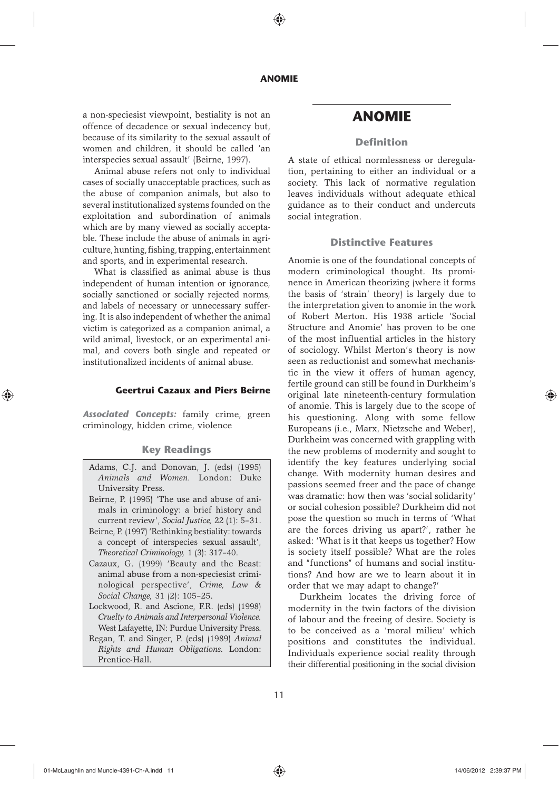a non-speciesist viewpoint, bestiality is not an offence of decadence or sexual indecency but, because of its similarity to the sexual assault of women and children, it should be called 'an interspecies sexual assault' (Beirne, 1997).

Animal abuse refers not only to individual cases of socially unacceptable practices, such as the abuse of companion animals, but also to several institutionalized systems founded on the exploitation and subordination of animals which are by many viewed as socially acceptable. These include the abuse of animals in agriculture, hunting, fishing, trapping, entertainment and sports, and in experimental research.

What is classified as animal abuse is thus independent of human intention or ignorance, socially sanctioned or socially rejected norms, and labels of necessary or unnecessary suffering. It is also independent of whether the animal victim is categorized as a companion animal, a wild animal, livestock, or an experimental animal, and covers both single and repeated or institutionalized incidents of animal abuse.

### **Geertrui Cazaux and Piers Beirne**

*Associated Concepts:* family crime, green criminology, hidden crime, violence

⊕

### **Key Readings**

- Adams, C.J. and Donovan, J. (eds) (1995) *Animals and Women.* London: Duke University Press.
- Beirne, P. (1995) 'The use and abuse of animals in criminology: a brief history and current review', *Social Justice,* 22 (1): 5–31.
- Beirne, P. (1997) 'Rethinking bestiality: towards a concept of interspecies sexual assault', *Theoretical Criminology,* 1 (3): 317–40.
- Cazaux, G. (1999) 'Beauty and the Beast: animal abuse from a non-speciesist criminological perspective', *Crime, Law & Social Change,* 31 (2): 105–25.
- Lockwood, R. and Ascione, F.R. (eds) (1998) *Cruelty to Animals and Interpersonal Violence.*  West Lafayette, IN: Purdue University Press.
- Regan, T. and Singer, P. (eds) (1989) *Animal Rights and Human Obligations.* London: Prentice-Hall.

### **ANOMIE**

### **Definition**

A state of ethical normlessness or deregulation, pertaining to either an individual or a society. This lack of normative regulation leaves individuals without adequate ethical guidance as to their conduct and undercuts social integration.

### **Distinctive Features**

Anomie is one of the foundational concepts of modern criminological thought. Its prominence in American theorizing (where it forms the basis of 'strain' theory) is largely due to the interpretation given to anomie in the work of Robert Merton. His 1938 article 'Social Structure and Anomie' has proven to be one of the most influential articles in the history of sociology. Whilst Merton's theory is now seen as reductionist and somewhat mechanistic in the view it offers of human agency, fertile ground can still be found in Durkheim's original late nineteenth-century formulation of anomie. This is largely due to the scope of his questioning. Along with some fellow Europeans (i.e., Marx, Nietzsche and Weber), Durkheim was concerned with grappling with the new problems of modernity and sought to identify the key features underlying social change. With modernity human desires and passions seemed freer and the pace of change was dramatic: how then was 'social solidarity' or social cohesion possible? Durkheim did not pose the question so much in terms of 'What are the forces driving us apart?', rather he asked: 'What is it that keeps us together? How is society itself possible? What are the roles and "functions" of humans and social institutions? And how are we to learn about it in order that we may adapt to change?'

Durkheim locates the driving force of modernity in the twin factors of the division of labour and the freeing of desire. Society is to be conceived as a 'moral milieu' which positions and constitutes the individual. Individuals experience social reality through their differential positioning in the social division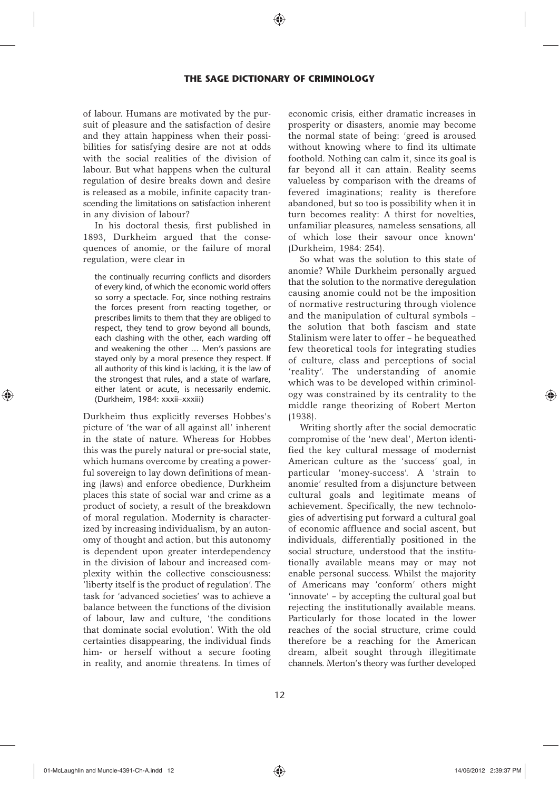of labour. Humans are motivated by the pursuit of pleasure and the satisfaction of desire and they attain happiness when their possibilities for satisfying desire are not at odds with the social realities of the division of labour. But what happens when the cultural regulation of desire breaks down and desire is released as a mobile, infinite capacity transcending the limitations on satisfaction inherent in any division of labour?

In his doctoral thesis, first published in 1893, Durkheim argued that the consequences of anomie, or the failure of moral regulation, were clear in

the continually recurring conflicts and disorders of every kind, of which the economic world offers so sorry a spectacle. For, since nothing restrains the forces present from reacting together, or prescribes limits to them that they are obliged to respect, they tend to grow beyond all bounds, each clashing with the other, each warding off and weakening the other … Men's passions are stayed only by a moral presence they respect. If all authority of this kind is lacking, it is the law of the strongest that rules, and a state of warfare, either latent or acute, is necessarily endemic. (Durkheim, 1984: xxxii–xxxiii)

Durkheim thus explicitly reverses Hobbes's picture of 'the war of all against all' inherent in the state of nature. Whereas for Hobbes this was the purely natural or pre-social state, which humans overcome by creating a powerful sovereign to lay down definitions of meaning (laws) and enforce obedience, Durkheim places this state of social war and crime as a product of society, a result of the breakdown of moral regulation. Modernity is characterized by increasing individualism, by an autonomy of thought and action, but this autonomy is dependent upon greater interdependency in the division of labour and increased complexity within the collective consciousness: 'liberty itself is the product of regulation'. The task for 'advanced societies' was to achieve a balance between the functions of the division of labour, law and culture, 'the conditions that dominate social evolution'. With the old certainties disappearing, the individual finds him- or herself without a secure footing in reality, and anomie threatens. In times of

economic crisis, either dramatic increases in prosperity or disasters, anomie may become the normal state of being: 'greed is aroused without knowing where to find its ultimate foothold. Nothing can calm it, since its goal is far beyond all it can attain. Reality seems valueless by comparison with the dreams of fevered imaginations; reality is therefore abandoned, but so too is possibility when it in turn becomes reality: A thirst for novelties, unfamiliar pleasures, nameless sensations, all of which lose their savour once known' (Durkheim, 1984: 254).

So what was the solution to this state of anomie? While Durkheim personally argued that the solution to the normative deregulation causing anomie could not be the imposition of normative restructuring through violence and the manipulation of cultural symbols – the solution that both fascism and state Stalinism were later to offer – he bequeathed few theoretical tools for integrating studies of culture, class and perceptions of social 'reality'. The understanding of anomie which was to be developed within criminology was constrained by its centrality to the middle range theorizing of Robert Merton (1938).

Writing shortly after the social democratic compromise of the 'new deal', Merton identified the key cultural message of modernist American culture as the 'success' goal, in particular 'money-success'. A 'strain to anomie' resulted from a disjuncture between cultural goals and legitimate means of achievement. Specifically, the new technologies of advertising put forward a cultural goal of economic affluence and social ascent, but individuals, differentially positioned in the social structure, understood that the institutionally available means may or may not enable personal success. Whilst the majority of Americans may 'conform' others might 'innovate' – by accepting the cultural goal but rejecting the institutionally available means. Particularly for those located in the lower reaches of the social structure, crime could therefore be a reaching for the American dream, albeit sought through illegitimate channels. Merton's theory was further developed

01-McLaughlin and Muncie-4391-Ch-A.indd 12  $\bigoplus$  14/06/2012 2:39:37 PM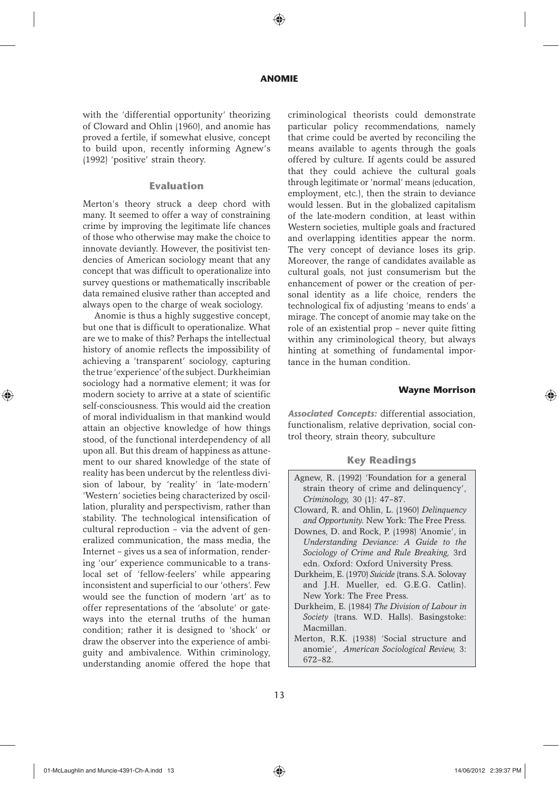### **ANOMIE**

with the 'differential opportunity' theorizing of Cloward and Ohlin (1960), and anomie has proved a fertile, if somewhat elusive, concept to build upon, recently informing Agnew's (1992) 'positive' strain theory.

### **Evaluation**

Merton's theory struck a deep chord with many. It seemed to offer a way of constraining crime by improving the legitimate life chances of those who otherwise may make the choice to innovate deviantly. However, the positivist tendencies of American sociology meant that any concept that was difficult to operationalize into survey questions or mathematically inscribable data remained elusive rather than accepted and always open to the charge of weak sociology.

Anomie is thus a highly suggestive concept, but one that is difficult to operationalize. What are we to make of this? Perhaps the intellectual history of anomie reflects the impossibility of achieving a 'transparent' sociology, capturing the true 'experience' of the subject. Durkheimian sociology had a normative element; it was for modern society to arrive at a state of scientific self-consciousness. This would aid the creation of moral individualism in that mankind would attain an objective knowledge of how things stood, of the functional interdependency of all upon all. But this dream of happiness as attunement to our shared knowledge of the state of reality has been undercut by the relentless division of labour, by 'reality' in 'late-modern' 'Western' societies being characterized by oscillation, plurality and perspectivism, rather than stability. The technological intensification of cultural reproduction – via the advent of generalized communication, the mass media, the Internet – gives us a sea of information, rendering 'our' experience communicable to a translocal set of 'fellow-feelers' while appearing inconsistent and superficial to our 'others'. Few would see the function of modern 'art' as to offer representations of the 'absolute' or gateways into the eternal truths of the human condition; rather it is designed to 'shock' or draw the observer into the experience of ambiguity and ambivalence. Within criminology, understanding anomie offered the hope that

criminological theorists could demonstrate particular policy recommendations, namely that crime could be averted by reconciling the means available to agents through the goals offered by culture. If agents could be assured that they could achieve the cultural goals through legitimate or 'normal' means (education, employment, etc.), then the strain to deviance would lessen. But in the globalized capitalism of the late-modern condition, at least within Western societies, multiple goals and fractured and overlapping identities appear the norm. The very concept of deviance loses its grip. Moreover, the range of candidates available as cultural goals, not just consumerism but the enhancement of power or the creation of personal identity as a life choice, renders the technological fix of adjusting 'means to ends' a mirage. The concept of anomie may take on the role of an existential prop – never quite fitting within any criminological theory, but always hinting at something of fundamental importance in the human condition.

#### **Wayne Morrison**

*Associated Concepts:* differential association, functionalism, relative deprivation, social control theory, strain theory, subculture

#### **Key Readings**

- Agnew, R. (1992) 'Foundation for a general strain theory of crime and delinquency', *Criminology,* 30 (1): 47–87.
- Cloward, R. and Ohlin, L. (1960) *Delinquency and Opportunity.* New York: The Free Press.
- Downes, D. and Rock, P. (1998) 'Anomie', in *Understanding Deviance: A Guide to the Sociology of Crime and Rule Breaking,* 3rd edn. Oxford: Oxford University Press.
- Durkheim, E. (1970) *Suicide* (trans. S.A. Solovay and J.H. Mueller, ed. G.E.G. Catlin). New York: The Free Press.
- Durkheim, E. (1984) *The Division of Labour in Society* (trans. W.D. Halls). Basingstoke: Macmillan.
- Merton, R.K. (1938) 'Social structure and anomie', *American Sociological Review,* 3: 672–82.

◈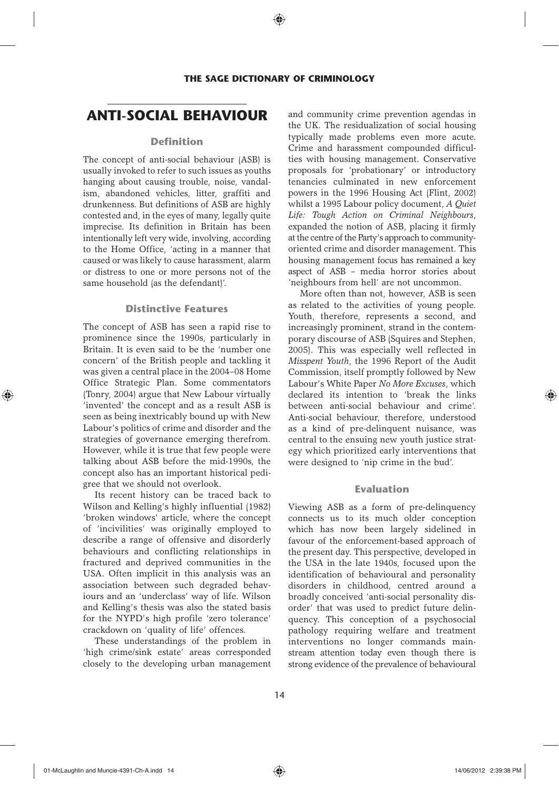## **ANTI-SOCIAL BEHAVIOUR**

### **Definition**

The concept of anti-social behaviour (ASB) is usually invoked to refer to such issues as youths hanging about causing trouble, noise, vandalism, abandoned vehicles, litter, graffiti and drunkenness. But definitions of ASB are highly contested and, in the eyes of many, legally quite imprecise. Its definition in Britain has been intentionally left very wide, involving, according to the Home Office, 'acting in a manner that caused or was likely to cause harassment, alarm or distress to one or more persons not of the same household (as the defendant)'.

### **Distinctive Features**

The concept of ASB has seen a rapid rise to prominence since the 1990s, particularly in Britain. It is even said to be the 'number one concern' of the British people and tackling it was given a central place in the 2004–08 Home Office Strategic Plan. Some commentators (Tonry, 2004) argue that New Labour virtually 'invented' the concept and as a result ASB is seen as being inextricably bound up with New Labour's politics of crime and disorder and the strategies of governance emerging therefrom. However, while it is true that few people were talking about ASB before the mid-1990s, the concept also has an important historical pedigree that we should not overlook.

◈

Its recent history can be traced back to Wilson and Kelling's highly influential (1982) 'broken windows' article, where the concept of 'incivilities' was originally employed to describe a range of offensive and disorderly behaviours and conflicting relationships in fractured and deprived communities in the USA. Often implicit in this analysis was an association between such degraded behaviours and an 'underclass' way of life. Wilson and Kelling's thesis was also the stated basis for the NYPD's high profile 'zero tolerance' crackdown on 'quality of life' offences.

These understandings of the problem in 'high crime/sink estate' areas corresponded closely to the developing urban management

and community crime prevention agendas in the UK. The residualization of social housing typically made problems even more acute. Crime and harassment compounded difficulties with housing management. Conservative proposals for 'probationary' or introductory tenancies culminated in new enforcement powers in the 1996 Housing Act (Flint, 2002) whilst a 1995 Labour policy document, *A Quiet Life: Tough Action on Criminal Neighbours*, expanded the notion of ASB, placing it firmly at the centre of the Party's approach to communityoriented crime and disorder management. This housing management focus has remained a key aspect of ASB – media horror stories about 'neighbours from hell' are not uncommon.

More often than not, however, ASB is seen as related to the activities of young people. Youth, therefore, represents a second, and increasingly prominent, strand in the contemporary discourse of ASB (Squires and Stephen, 2005). This was especially well reflected in *Misspent Youth*, the 1996 Report of the Audit Commission, itself promptly followed by New Labour's White Paper *No More Excuses*, which declared its intention to 'break the links between anti-social behaviour and crime'. Anti-social behaviour, therefore, understood as a kind of pre-delinquent nuisance, was central to the ensuing new youth justice strategy which prioritized early interventions that were designed to 'nip crime in the bud'.

### **Evaluation**

Viewing ASB as a form of pre-delinquency connects us to its much older conception which has now been largely sidelined in favour of the enforcement-based approach of the present day. This perspective, developed in the USA in the late 1940s, focused upon the identification of behavioural and personality disorders in childhood, centred around a broadly conceived 'anti-social personality disorder' that was used to predict future delinquency. This conception of a psychosocial pathology requiring welfare and treatment interventions no longer commands mainstream attention today even though there is strong evidence of the prevalence of behavioural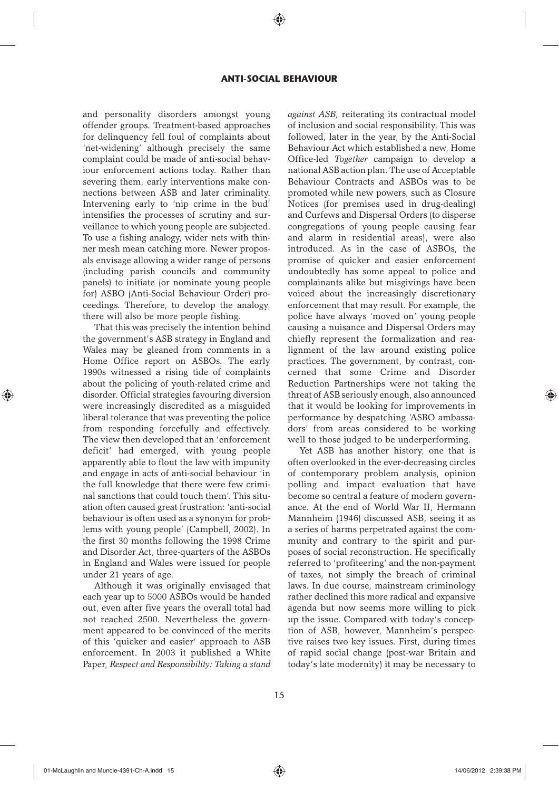### **ANTI-SOCIAL BEHAVIOUR**

and personality disorders amongst young offender groups. Treatment-based approaches for delinquency fell foul of complaints about 'net-widening' although precisely the same complaint could be made of anti-social behaviour enforcement actions today. Rather than severing them, early interventions make connections between ASB and later criminality. Intervening early to 'nip crime in the bud' intensifies the processes of scrutiny and surveillance to which young people are subjected. To use a fishing analogy, wider nets with thinner mesh mean catching more. Newer proposals envisage allowing a wider range of persons (including parish councils and community panels) to initiate (or nominate young people for) ASBO (Anti-Social Behaviour Order) proceedings. Therefore, to develop the analogy, there will also be more people fishing.

That this was precisely the intention behind the government's ASB strategy in England and Wales may be gleaned from comments in a Home Office report on ASBOs. The early 1990s witnessed a rising tide of complaints about the policing of youth-related crime and disorder. Official strategies favouring diversion were increasingly discredited as a misguided liberal tolerance that was preventing the police from responding forcefully and effectively. The view then developed that an 'enforcement deficit' had emerged, with young people apparently able to flout the law with impunity and engage in acts of anti-social behaviour 'in the full knowledge that there were few criminal sanctions that could touch them'. This situation often caused great frustration: 'anti-social behaviour is often used as a synonym for problems with young people' (Campbell, 2002). In the first 30 months following the 1998 Crime and Disorder Act, three-quarters of the ASBOs in England and Wales were issued for people under 21 years of age.

Although it was originally envisaged that each year up to 5000 ASBOs would be handed out, even after five years the overall total had not reached 2500. Nevertheless the government appeared to be convinced of the merits of this 'quicker and easier' approach to ASB enforcement. In 2003 it published a White Paper, *Respect and Responsibility: Taking a stand* 

*against ASB,* reiterating its contractual model of inclusion and social responsibility. This was followed, later in the year, by the Anti-Social Behaviour Act which established a new, Home Office-led *Together* campaign to develop a national ASB action plan. The use of Acceptable Behaviour Contracts and ASBOs was to be promoted while new powers, such as Closure Notices (for premises used in drug-dealing) and Curfews and Dispersal Orders (to disperse congregations of young people causing fear and alarm in residential areas), were also introduced. As in the case of ASBOs, the promise of quicker and easier enforcement undoubtedly has some appeal to police and complainants alike but misgivings have been voiced about the increasingly discretionary enforcement that may result. For example, the police have always 'moved on' young people causing a nuisance and Dispersal Orders may chiefly represent the formalization and realignment of the law around existing police practices. The government, by contrast, concerned that some Crime and Disorder Reduction Partnerships were not taking the threat of ASB seriously enough, also announced that it would be looking for improvements in performance by despatching 'ASBO ambassadors' from areas considered to be working well to those judged to be underperforming.

Yet ASB has another history, one that is often overlooked in the ever-decreasing circles of contemporary problem analysis, opinion polling and impact evaluation that have become so central a feature of modern governance. At the end of World War II, Hermann Mannheim (1946) discussed ASB, seeing it as a series of harms perpetrated against the community and contrary to the spirit and purposes of social reconstruction. He specifically referred to 'profiteering' and the non-payment of taxes, not simply the breach of criminal laws. In due course, mainstream criminology rather declined this more radical and expansive agenda but now seems more willing to pick up the issue. Compared with today's conception of ASB, however, Mannheim's perspective raises two key issues. First, during times of rapid social change (post-war Britain and today's late modernity) it may be necessary to

01-McLaughlin and Muncie-4391-Ch-A.indd 15  $\bigoplus$  14/06/2012 2:39:38 PM

◈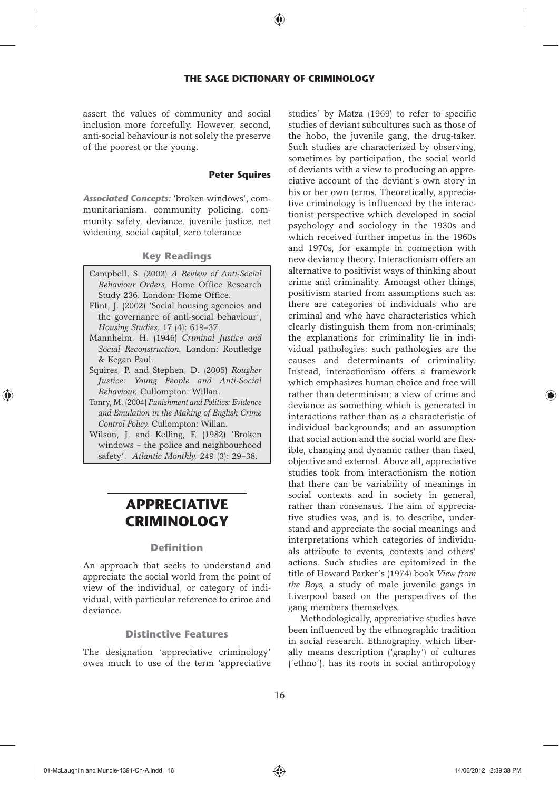### **THE SAGE DICTIONARY OF CRIMINOLOGY**

assert the values of community and social inclusion more forcefully. However, second, anti-social behaviour is not solely the preserve of the poorest or the young.

### **Peter Squires**

*Associated Concepts:* 'broken windows', communitarianism, community policing, community safety, deviance, juvenile justice, net widening, social capital, zero tolerance

### **Key Readings**

- Campbell, S. (2002) *A Review of Anti-Social Behaviour Orders,* Home Office Research Study 236. London: Home Office.
- Flint, J. (2002) 'Social housing agencies and the governance of anti-social behaviour', *Housing Studies,* 17 (4): 619–37.
- Mannheim, H. (1946) *Criminal Justice and Social Reconstruction.* London: Routledge & Kegan Paul.
- Squires, P. and Stephen, D. (2005) *Rougher Justice: Young People and Anti-Social Behaviour.* Cullompton: Willan.

◈

- Tonry, M. (2004) *Punishment and Politics: Evidence and Emulation in the Making of English Crime Control Policy.* Cullompton: Willan.
- Wilson, J. and Kelling, F. (1982) 'Broken windows – the police and neighbourhood safety', *Atlantic Monthly,* 249 (3): 29–38.

# **APPRECIATIVE CRIMINOLOGY**

### **Definition**

An approach that seeks to understand and appreciate the social world from the point of view of the individual, or category of individual, with particular reference to crime and deviance.

### **Distinctive Features**

The designation 'appreciative criminology' owes much to use of the term 'appreciative

studies' by Matza (1969) to refer to specific studies of deviant subcultures such as those of the hobo, the juvenile gang, the drug-taker. Such studies are characterized by observing, sometimes by participation, the social world of deviants with a view to producing an appreciative account of the deviant's own story in his or her own terms. Theoretically, appreciative criminology is influenced by the interactionist perspective which developed in social psychology and sociology in the 1930s and which received further impetus in the 1960s and 1970s, for example in connection with new deviancy theory. Interactionism offers an alternative to positivist ways of thinking about crime and criminality. Amongst other things, positivism started from assumptions such as: there are categories of individuals who are criminal and who have characteristics which clearly distinguish them from non-criminals; the explanations for criminality lie in individual pathologies; such pathologies are the causes and determinants of criminality. Instead, interactionism offers a framework which emphasizes human choice and free will rather than determinism; a view of crime and deviance as something which is generated in interactions rather than as a characteristic of individual backgrounds; and an assumption that social action and the social world are flexible, changing and dynamic rather than fixed, objective and external. Above all, appreciative studies took from interactionism the notion that there can be variability of meanings in social contexts and in society in general, rather than consensus. The aim of appreciative studies was, and is, to describe, understand and appreciate the social meanings and interpretations which categories of individuals attribute to events, contexts and others' actions. Such studies are epitomized in the title of Howard Parker's (1974) book *View from the Boys,* a study of male juvenile gangs in Liverpool based on the perspectives of the gang members themselves.

Methodologically, appreciative studies have been influenced by the ethnographic tradition in social research. Ethnography, which liberally means description ('graphy') of cultures ('ethno'), has its roots in social anthropology

01-McLaughlin and Muncie-4391-Ch-A.indd 16  $\overline{\bigoplus}$  14/06/2012 2:39:38 PM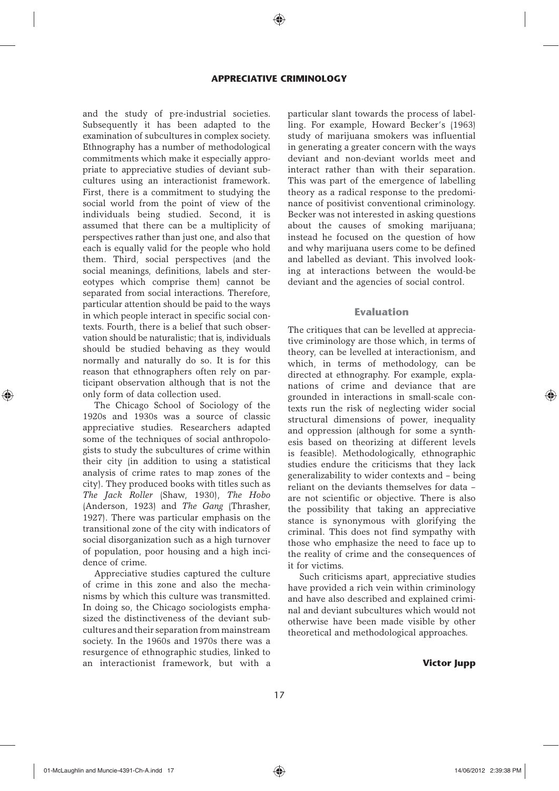### **APPRECIATIVE CRIMINOLOGY**

and the study of pre-industrial societies. Subsequently it has been adapted to the examination of subcultures in complex society. Ethnography has a number of methodological commitments which make it especially appropriate to appreciative studies of deviant subcultures using an interactionist framework. First, there is a commitment to studying the social world from the point of view of the individuals being studied. Second, it is assumed that there can be a multiplicity of perspectives rather than just one, and also that each is equally valid for the people who hold them. Third, social perspectives (and the social meanings, definitions, labels and stereotypes which comprise them) cannot be separated from social interactions. Therefore, particular attention should be paid to the ways in which people interact in specific social contexts. Fourth, there is a belief that such observation should be naturalistic; that is, individuals should be studied behaving as they would normally and naturally do so. It is for this reason that ethnographers often rely on participant observation although that is not the only form of data collection used.

The Chicago School of Sociology of the 1920s and 1930s was a source of classic appreciative studies. Researchers adapted some of the techniques of social anthropologists to study the subcultures of crime within their city (in addition to using a statistical analysis of crime rates to map zones of the city). They produced books with titles such as *The Jack Roller* (Shaw, 1930), *The Hobo*  (Anderson, 1923) and *The Gang* (Thrasher, 1927). There was particular emphasis on the transitional zone of the city with indicators of social disorganization such as a high turnover of population, poor housing and a high incidence of crime.

Appreciative studies captured the culture of crime in this zone and also the mechanisms by which this culture was transmitted. In doing so, the Chicago sociologists emphasized the distinctiveness of the deviant subcultures and their separation from mainstream society. In the 1960s and 1970s there was a resurgence of ethnographic studies, linked to an interactionist framework, but with a

particular slant towards the process of labelling. For example, Howard Becker's (1963) study of marijuana smokers was influential in generating a greater concern with the ways deviant and non-deviant worlds meet and interact rather than with their separation. This was part of the emergence of labelling theory as a radical response to the predominance of positivist conventional criminology. Becker was not interested in asking questions about the causes of smoking marijuana; instead he focused on the question of how and why marijuana users come to be defined and labelled as deviant. This involved looking at interactions between the would-be deviant and the agencies of social control.

### **Evaluation**

The critiques that can be levelled at appreciative criminology are those which, in terms of theory, can be levelled at interactionism, and which, in terms of methodology, can be directed at ethnography. For example, explanations of crime and deviance that are grounded in interactions in small-scale contexts run the risk of neglecting wider social structural dimensions of power, inequality and oppression (although for some a synthesis based on theorizing at different levels is feasible). Methodologically, ethnographic studies endure the criticisms that they lack generalizability to wider contexts and – being reliant on the deviants themselves for data – are not scientific or objective. There is also the possibility that taking an appreciative stance is synonymous with glorifying the criminal. This does not find sympathy with those who emphasize the need to face up to the reality of crime and the consequences of it for victims.

Such criticisms apart, appreciative studies have provided a rich vein within criminology and have also described and explained criminal and deviant subcultures which would not otherwise have been made visible by other theoretical and methodological approaches.

### **Victor Jupp**

01-McLaughlin and Muncie-4391-Ch-A.indd 17  $\overline{\bigoplus}$  14/06/2012 2:39:38 PM

♠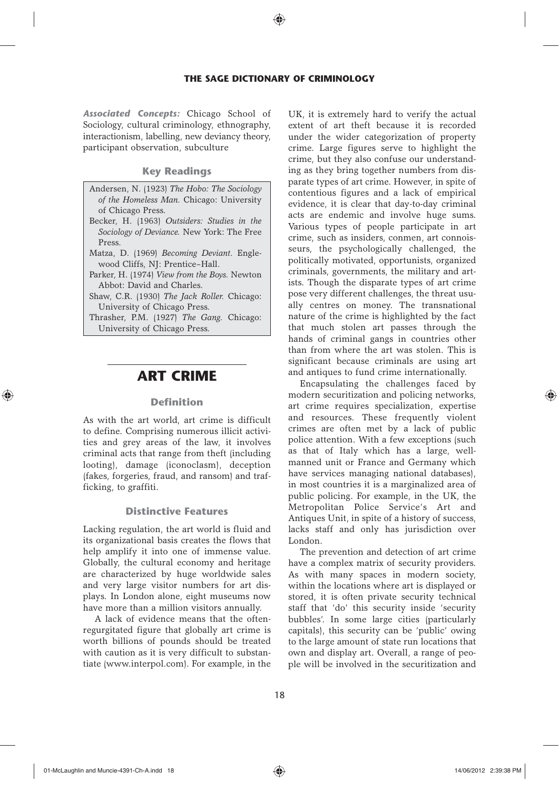### **THE SAGE DICTIONARY OF CRIMINOLOGY**

*Associated Concepts:* Chicago School of Sociology, cultural criminology, ethnography, interactionism, labelling, new deviancy theory, participant observation, subculture

### **Key Readings**

| Andersen, N. (1923) The Hobo: The Sociology  |
|----------------------------------------------|
| of the Homeless Man. Chicago: University     |
| of Chicago Press.                            |
| Becker, H. (1963) Outsiders: Studies in the  |
| Sociology of Deviance. New York: The Free    |
| Press.                                       |
| Matza, D. (1969) Becoming Deviant. Engle-    |
| wood Cliffs, NJ: Prentice-Hall.              |
| Parker, H. (1974) View from the Boys. Newton |
| Abbot: David and Charles.                    |
| Shaw, C.R. (1930) The Jack Roller. Chicago:  |
| University of Chicago Press.                 |
| Thrasher, P.M. (1927) The Gang. Chicago:     |
| University of Chicago Press.                 |

### **ART CRIME**

### **Definition**

◈

As with the art world, art crime is difficult to define. Comprising numerous illicit activities and grey areas of the law, it involves criminal acts that range from theft (including looting), damage (iconoclasm), deception (fakes, forgeries, fraud, and ransom) and trafficking, to graffiti.

### **Distinctive Features**

Lacking regulation, the art world is fluid and its organizational basis creates the flows that help amplify it into one of immense value. Globally, the cultural economy and heritage are characterized by huge worldwide sales and very large visitor numbers for art displays. In London alone, eight museums now have more than a million visitors annually.

A lack of evidence means that the oftenregurgitated figure that globally art crime is worth billions of pounds should be treated with caution as it is very difficult to substantiate (www.interpol.com). For example, in the

UK, it is extremely hard to verify the actual extent of art theft because it is recorded under the wider categorization of property crime. Large figures serve to highlight the crime, but they also confuse our understanding as they bring together numbers from disparate types of art crime. However, in spite of contentious figures and a lack of empirical evidence, it is clear that day-to-day criminal acts are endemic and involve huge sums. Various types of people participate in art crime, such as insiders, conmen, art connoisseurs, the psychologically challenged, the politically motivated, opportunists, organized criminals, governments, the military and artists. Though the disparate types of art crime pose very different challenges, the threat usually centres on money. The transnational nature of the crime is highlighted by the fact that much stolen art passes through the hands of criminal gangs in countries other than from where the art was stolen. This is significant because criminals are using art and antiques to fund crime internationally.

Encapsulating the challenges faced by modern securitization and policing networks, art crime requires specialization, expertise and resources. These frequently violent crimes are often met by a lack of public police attention. With a few exceptions (such as that of Italy which has a large, wellmanned unit or France and Germany which have services managing national databases), in most countries it is a marginalized area of public policing. For example, in the UK, the Metropolitan Police Service's Art and Antiques Unit, in spite of a history of success, lacks staff and only has jurisdiction over London.

The prevention and detection of art crime have a complex matrix of security providers. As with many spaces in modern society, within the locations where art is displayed or stored, it is often private security technical staff that 'do' this security inside 'security bubbles'. In some large cities (particularly capitals), this security can be 'public' owing to the large amount of state run locations that own and display art. Overall, a range of people will be involved in the securitization and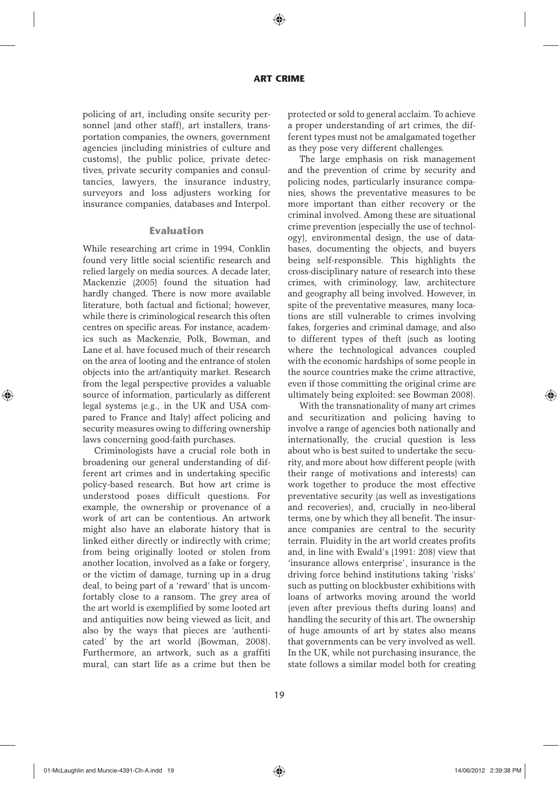policing of art, including onsite security personnel (and other staff), art installers, transportation companies, the owners, government agencies (including ministries of culture and customs), the public police, private detectives, private security companies and consultancies, lawyers, the insurance industry, surveyors and loss adjusters working for insurance companies, databases and Interpol.

### **Evaluation**

While researching art crime in 1994, Conklin found very little social scientific research and relied largely on media sources. A decade later, Mackenzie (2005) found the situation had hardly changed. There is now more available literature, both factual and fictional; however, while there is criminological research this often centres on specific areas. For instance, academics such as Mackenzie, Polk, Bowman, and Lane et al. have focused much of their research on the area of looting and the entrance of stolen objects into the art/antiquity market. Research from the legal perspective provides a valuable source of information, particularly as different legal systems (e.g., in the UK and USA compared to France and Italy) affect policing and security measures owing to differing ownership laws concerning good-faith purchases.

Criminologists have a crucial role both in broadening our general understanding of different art crimes and in undertaking specific policy-based research. But how art crime is understood poses difficult questions. For example, the ownership or provenance of a work of art can be contentious. An artwork might also have an elaborate history that is linked either directly or indirectly with crime; from being originally looted or stolen from another location, involved as a fake or forgery, or the victim of damage, turning up in a drug deal, to being part of a 'reward' that is uncomfortably close to a ransom. The grey area of the art world is exemplified by some looted art and antiquities now being viewed as licit, and also by the ways that pieces are 'authenticated' by the art world (Bowman, 2008). Furthermore, an artwork, such as a graffiti mural, can start life as a crime but then be

protected or sold to general acclaim. To achieve a proper understanding of art crimes, the different types must not be amalgamated together as they pose very different challenges.

The large emphasis on risk management and the prevention of crime by security and policing nodes, particularly insurance companies, shows the preventative measures to be more important than either recovery or the criminal involved. Among these are situational crime prevention (especially the use of technology), environmental design, the use of databases, documenting the objects, and buyers being self-responsible. This highlights the cross-disciplinary nature of research into these crimes, with criminology, law, architecture and geography all being involved. However, in spite of the preventative measures, many locations are still vulnerable to crimes involving fakes, forgeries and criminal damage, and also to different types of theft (such as looting where the technological advances coupled with the economic hardships of some people in the source countries make the crime attractive, even if those committing the original crime are ultimately being exploited: see Bowman 2008).

With the transnationality of many art crimes and securitization and policing having to involve a range of agencies both nationally and internationally, the crucial question is less about who is best suited to undertake the security, and more about how different people (with their range of motivations and interests) can work together to produce the most effective preventative security (as well as investigations and recoveries), and, crucially in neo-liberal terms, one by which they all benefit. The insurance companies are central to the security terrain. Fluidity in the art world creates profits and, in line with Ewald's (1991: 208) view that 'insurance allows enterprise', insurance is the driving force behind institutions taking 'risks' such as putting on blockbuster exhibitions with loans of artworks moving around the world (even after previous thefts during loans) and handling the security of this art. The ownership of huge amounts of art by states also means that governments can be very involved as well. In the UK, while not purchasing insurance, the state follows a similar model both for creating

♠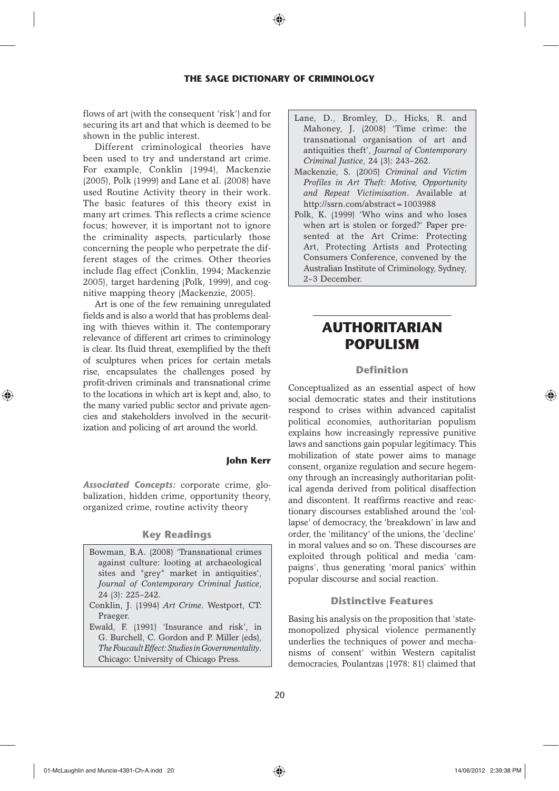flows of art (with the consequent 'risk') and for securing its art and that which is deemed to be shown in the public interest.

Different criminological theories have been used to try and understand art crime. For example, Conklin (1994), Mackenzie (2005), Polk (1999) and Lane et al. (2008) have used Routine Activity theory in their work. The basic features of this theory exist in many art crimes. This reflects a crime science focus; however, it is important not to ignore the criminality aspects, particularly those concerning the people who perpetrate the different stages of the crimes. Other theories include flag effect (Conklin, 1994; Mackenzie 2005), target hardening (Polk, 1999), and cognitive mapping theory (Mackenzie, 2005).

Art is one of the few remaining unregulated fields and is also a world that has problems dealing with thieves within it. The contemporary relevance of different art crimes to criminology is clear. Its fluid threat, exemplified by the theft of sculptures when prices for certain metals rise, encapsulates the challenges posed by profit-driven criminals and transnational crime to the locations in which art is kept and, also, to the many varied public sector and private agencies and stakeholders involved in the securitization and policing of art around the world.

⊕

### **John Kerr**

*Associated Concepts:* corporate crime, globalization, hidden crime, opportunity theory, organized crime, routine activity theory

### **Key Readings**

- Bowman, B.A. (2008) 'Transnational crimes against culture: looting at archaeological sites and "grey" market in antiquities', *Journal of Contemporary Criminal Justice*, 24 (3): 225–242.
- Conklin, J. (1994) *Art Crime*. Westport, CT: Praeger.
- Ewald, F. (1991) 'Insurance and risk', in G. Burchell, C. Gordon and P. Miller (eds), *The Foucault Effect: Studies in Governmentality*. Chicago: University of Chicago Press.
- Lane, D., Bromley, D., Hicks, R. and Mahoney, J. (2008) 'Time crime: the transnational organisation of art and antiquities theft', *Journal of Contemporary Criminal Justice*, 24 (3): 243–262.
- Mackenzie, S. (2005) *Criminal and Victim Profiles in Art Theft: Motive, Opportunity and Repeat Victimisation*. Available at http://ssrn.com/abstract=1003988
- Polk, K. (1999) 'Who wins and who loses when art is stolen or forged?' Paper presented at the Art Crime: Protecting Art, Protecting Artists and Protecting Consumers Conference, convened by the Australian Institute of Criminology, Sydney, 2–3 December.

# **AUTHORITARIAN POPULISM**

### **Definition**

Conceptualized as an essential aspect of how social democratic states and their institutions respond to crises within advanced capitalist political economies, authoritarian populism explains how increasingly repressive punitive laws and sanctions gain popular legitimacy. This mobilization of state power aims to manage consent, organize regulation and secure hegemony through an increasingly authoritarian political agenda derived from political disaffection and discontent. It reaffirms reactive and reactionary discourses established around the 'collapse' of democracy, the 'breakdown' in law and order, the 'militancy' of the unions, the 'decline' in moral values and so on. These discourses are exploited through political and media 'campaigns', thus generating 'moral panics' within popular discourse and social reaction.

### **Distinctive Features**

Basing his analysis on the proposition that 'statemonopolized physical violence permanently underlies the techniques of power and mechanisms of consent' within Western capitalist democracies, Poulantzas (1978: 81) claimed that

01-McLaughlin and Muncie-4391-Ch-A.indd 20  $\bigoplus$  14/06/2012 2:39:38 PM

⊕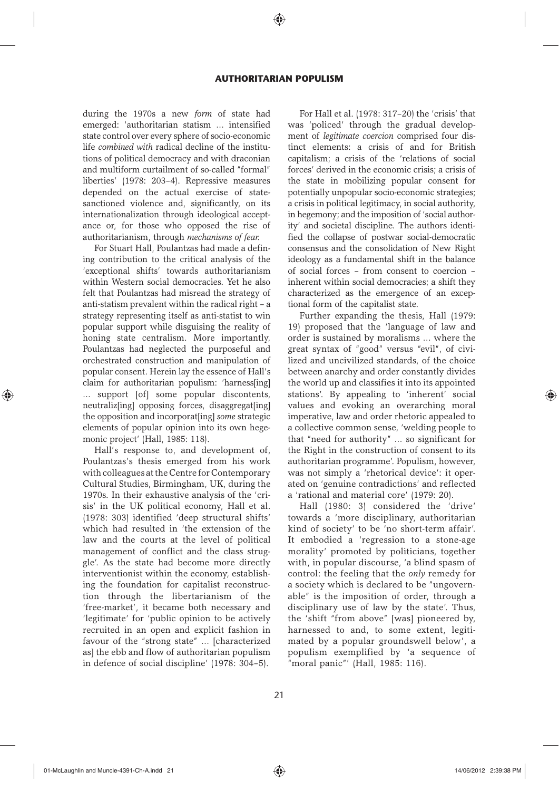### **AUTHORITARIAN POPULISM**

◈

during the 1970s a new *form* of state had emerged: 'authoritarian statism … intensified state control over every sphere of socio-economic life *combined with* radical decline of the institutions of political democracy and with draconian and multiform curtailment of so-called "formal" liberties' (1978: 203–4). Repressive measures depended on the actual exercise of statesanctioned violence and, significantly, on its internationalization through ideological acceptance or, for those who opposed the rise of authoritarianism, through *mechanisms of fear.*

For Stuart Hall, Poulantzas had made a defining contribution to the critical analysis of the 'exceptional shifts' towards authoritarianism within Western social democracies. Yet he also felt that Poulantzas had misread the strategy of anti-statism prevalent within the radical right – a strategy representing itself as anti-statist to win popular support while disguising the reality of honing state centralism. More importantly, Poulantzas had neglected the purposeful and orchestrated construction and manipulation of popular consent. Herein lay the essence of Hall's claim for authoritarian populism: 'harness[ing] … support [of] some popular discontents, neutraliz[ing] opposing forces, disaggregat[ing] the opposition and incorporat[ing] *some* strategic elements of popular opinion into its own hegemonic project' (Hall, 1985: 118).

Hall's response to, and development of, Poulantzas's thesis emerged from his work with colleagues at the Centre for Contemporary Cultural Studies, Birmingham, UK, during the 1970s. In their exhaustive analysis of the 'crisis' in the UK political economy, Hall et al. (1978: 303) identified 'deep structural shifts' which had resulted in 'the extension of the law and the courts at the level of political management of conflict and the class struggle'. As the state had become more directly interventionist within the economy, establishing the foundation for capitalist reconstruction through the libertarianism of the 'free-market', it became both necessary and 'legitimate' for 'public opinion to be actively recruited in an open and explicit fashion in favour of the "strong state" … [characterized as] the ebb and flow of authoritarian populism in defence of social discipline' (1978: 304–5).

For Hall et al. (1978: 317–20) the 'crisis' that was 'policed' through the gradual development of *legitimate coercion* comprised four distinct elements: a crisis of and for British capitalism; a crisis of the 'relations of social forces' derived in the economic crisis; a crisis of the state in mobilizing popular consent for potentially unpopular socio-economic strategies; a crisis in political legitimacy, in social authority, in hegemony; and the imposition of 'social authority' and societal discipline. The authors identified the collapse of postwar social-democratic consensus and the consolidation of New Right ideology as a fundamental shift in the balance of social forces – from consent to coercion – inherent within social democracies; a shift they characterized as the emergence of an exceptional form of the capitalist state.

Further expanding the thesis, Hall (1979: 19) proposed that the 'language of law and order is sustained by moralisms … where the great syntax of "good" versus "evil", of civilized and uncivilized standards, of the choice between anarchy and order constantly divides the world up and classifies it into its appointed stations'. By appealing to 'inherent' social values and evoking an overarching moral imperative, law and order rhetoric appealed to a collective common sense, 'welding people to that "need for authority" … so significant for the Right in the construction of consent to its authoritarian programme'. Populism, however, was not simply a 'rhetorical device': it operated on 'genuine contradictions' and reflected a 'rational and material core' (1979: 20).

Hall (1980: 3) considered the 'drive' towards a 'more disciplinary, authoritarian kind of society' to be 'no short-term affair'. It embodied a 'regression to a stone-age morality' promoted by politicians, together with, in popular discourse, 'a blind spasm of control: the feeling that the *only* remedy for a society which is declared to be "ungovernable" is the imposition of order, through a disciplinary use of law by the state'. Thus, the 'shift "from above" [was] pioneered by, harnessed to and, to some extent, legitimated by a popular groundswell below', a populism exemplified by 'a sequence of "moral panic"' (Hall, 1985: 116).

♠